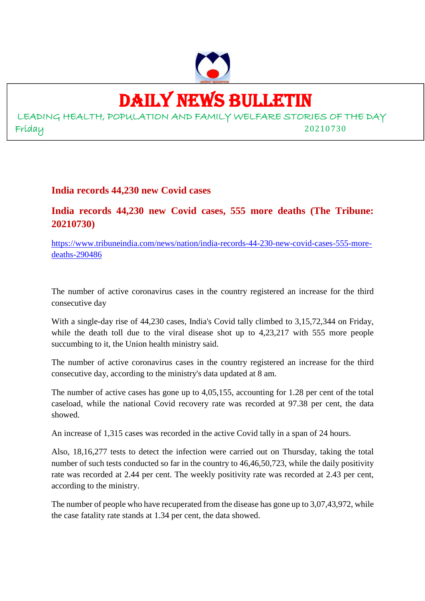

# DAILY NEWS BULLETIN

LEADING HEALTH, POPULATION AND FAMILY WELFARE STORIES OF THE DAY Friday 20210730

**India records 44,230 new Covid cases**

**India records 44,230 new Covid cases, 555 more deaths (The Tribune: 20210730)**

https://www.tribuneindia.com/news/nation/india-records-44-230-new-covid-cases-555-moredeaths-290486

The number of active coronavirus cases in the country registered an increase for the third consecutive day

With a single-day rise of 44,230 cases, India's Covid tally climbed to 3,15,72,344 on Friday, while the death toll due to the viral disease shot up to 4,23,217 with 555 more people succumbing to it, the Union health ministry said.

The number of active coronavirus cases in the country registered an increase for the third consecutive day, according to the ministry's data updated at 8 am.

The number of active cases has gone up to 4,05,155, accounting for 1.28 per cent of the total caseload, while the national Covid recovery rate was recorded at 97.38 per cent, the data showed.

An increase of 1,315 cases was recorded in the active Covid tally in a span of 24 hours.

Also, 18,16,277 tests to detect the infection were carried out on Thursday, taking the total number of such tests conducted so far in the country to 46,46,50,723, while the daily positivity rate was recorded at 2.44 per cent. The weekly positivity rate was recorded at 2.43 per cent, according to the ministry.

The number of people who have recuperated from the disease has gone up to 3,07,43,972, while the case fatality rate stands at 1.34 per cent, the data showed.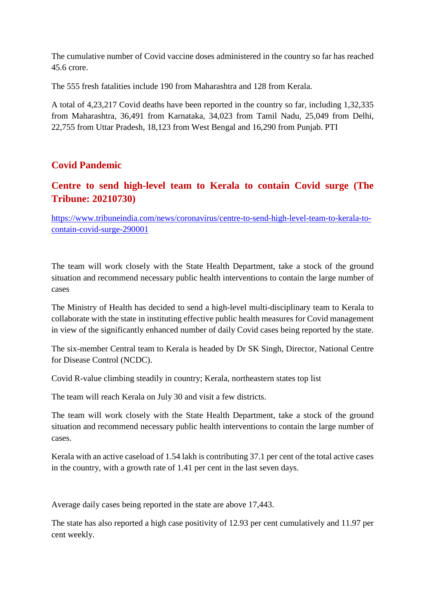The cumulative number of Covid vaccine doses administered in the country so far has reached 45.6 crore.

The 555 fresh fatalities include 190 from Maharashtra and 128 from Kerala.

A total of 4,23,217 Covid deaths have been reported in the country so far, including 1,32,335 from Maharashtra, 36,491 from Karnataka, 34,023 from Tamil Nadu, 25,049 from Delhi, 22,755 from Uttar Pradesh, 18,123 from West Bengal and 16,290 from Punjab. PTI

#### **Covid Pandemic**

#### **Centre to send high-level team to Kerala to contain Covid surge (The Tribune: 20210730)**

https://www.tribuneindia.com/news/coronavirus/centre-to-send-high-level-team-to-kerala-tocontain-covid-surge-290001

The team will work closely with the State Health Department, take a stock of the ground situation and recommend necessary public health interventions to contain the large number of cases

The Ministry of Health has decided to send a high-level multi-disciplinary team to Kerala to collaborate with the state in instituting effective public health measures for Covid management in view of the significantly enhanced number of daily Covid cases being reported by the state.

The six-member Central team to Kerala is headed by Dr SK Singh, Director, National Centre for Disease Control (NCDC).

Covid R-value climbing steadily in country; Kerala, northeastern states top list

The team will reach Kerala on July 30 and visit a few districts.

The team will work closely with the State Health Department, take a stock of the ground situation and recommend necessary public health interventions to contain the large number of cases.

Kerala with an active caseload of 1.54 lakh is contributing 37.1 per cent of the total active cases in the country, with a growth rate of 1.41 per cent in the last seven days.

Average daily cases being reported in the state are above 17,443.

The state has also reported a high case positivity of 12.93 per cent cumulatively and 11.97 per cent weekly.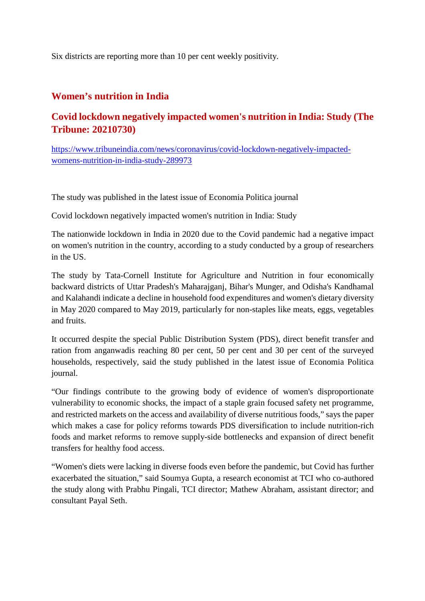Six districts are reporting more than 10 per cent weekly positivity.

#### **Women's nutrition in India**

### **Covid lockdown negatively impacted women's nutrition in India: Study (The Tribune: 20210730)**

https://www.tribuneindia.com/news/coronavirus/covid-lockdown-negatively-impactedwomens-nutrition-in-india-study-289973

The study was published in the latest issue of Economia Politica journal

Covid lockdown negatively impacted women's nutrition in India: Study

The nationwide lockdown in India in 2020 due to the Covid pandemic had a negative impact on women's nutrition in the country, according to a study conducted by a group of researchers in the US.

The study by Tata-Cornell Institute for Agriculture and Nutrition in four economically backward districts of Uttar Pradesh's Maharajganj, Bihar's Munger, and Odisha's Kandhamal and Kalahandi indicate a decline in household food expenditures and women's dietary diversity in May 2020 compared to May 2019, particularly for non-staples like meats, eggs, vegetables and fruits.

It occurred despite the special Public Distribution System (PDS), direct benefit transfer and ration from anganwadis reaching 80 per cent, 50 per cent and 30 per cent of the surveyed households, respectively, said the study published in the latest issue of Economia Politica journal.

"Our findings contribute to the growing body of evidence of women's disproportionate vulnerability to economic shocks, the impact of a staple grain focused safety net programme, and restricted markets on the access and availability of diverse nutritious foods," says the paper which makes a case for policy reforms towards PDS diversification to include nutrition-rich foods and market reforms to remove supply-side bottlenecks and expansion of direct benefit transfers for healthy food access.

"Women's diets were lacking in diverse foods even before the pandemic, but Covid has further exacerbated the situation," said Soumya Gupta, a research economist at TCI who co-authored the study along with Prabhu Pingali, TCI director; Mathew Abraham, assistant director; and consultant Payal Seth.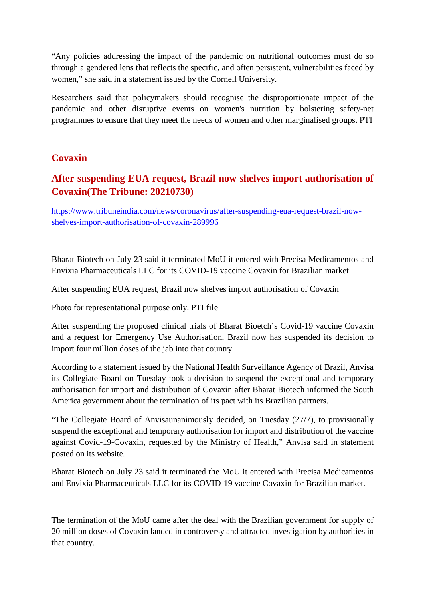"Any policies addressing the impact of the pandemic on nutritional outcomes must do so through a gendered lens that reflects the specific, and often persistent, vulnerabilities faced by women," she said in a statement issued by the Cornell University.

Researchers said that policymakers should recognise the disproportionate impact of the pandemic and other disruptive events on women's nutrition by bolstering safety-net programmes to ensure that they meet the needs of women and other marginalised groups. PTI

#### **Covaxin**

### **After suspending EUA request, Brazil now shelves import authorisation of Covaxin(The Tribune: 20210730)**

https://www.tribuneindia.com/news/coronavirus/after-suspending-eua-request-brazil-nowshelves-import-authorisation-of-covaxin-289996

Bharat Biotech on July 23 said it terminated MoU it entered with Precisa Medicamentos and Envixia Pharmaceuticals LLC for its COVID-19 vaccine Covaxin for Brazilian market

After suspending EUA request, Brazil now shelves import authorisation of Covaxin

Photo for representational purpose only. PTI file

After suspending the proposed clinical trials of Bharat Bioetch's Covid-19 vaccine Covaxin and a request for Emergency Use Authorisation, Brazil now has suspended its decision to import four million doses of the jab into that country.

According to a statement issued by the National Health Surveillance Agency of Brazil, Anvisa its Collegiate Board on Tuesday took a decision to suspend the exceptional and temporary authorisation for import and distribution of Covaxin after Bharat Biotech informed the South America government about the termination of its pact with its Brazilian partners.

"The Collegiate Board of Anvisaunanimously decided, on Tuesday (27/7), to provisionally suspend the exceptional and temporary authorisation for import and distribution of the vaccine against Covid-19-Covaxin, requested by the Ministry of Health," Anvisa said in statement posted on its website.

Bharat Biotech on July 23 said it terminated the MoU it entered with Precisa Medicamentos and Envixia Pharmaceuticals LLC for its COVID-19 vaccine Covaxin for Brazilian market.

The termination of the MoU came after the deal with the Brazilian government for supply of 20 million doses of Covaxin landed in controversy and attracted investigation by authorities in that country.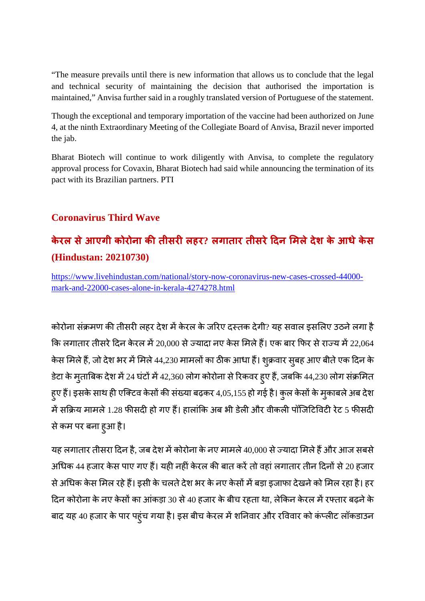"The measure prevails until there is new information that allows us to conclude that the legal and technical security of maintaining the decision that authorised the importation is maintained," Anvisa further said in a roughly translated version of Portuguese of the statement.

Though the exceptional and temporary importation of the vaccine had been authorized on June 4, at the ninth Extraordinary Meeting of the Collegiate Board of Anvisa, Brazil never imported the jab.

Bharat Biotech will continue to work diligently with Anvisa, to complete the regulatory approval process for Covaxin, Bharat Biotech had said while announcing the termination of its pact with its Brazilian partners. PTI

### **Coronavirus Third Wave**

# **केरल सेआएगी कोरोना कतीसरलहर? लगातार तीसरेदन मलेदेश के आधेकेस (Hindustan: 20210730)**

https://www.livehindustan.com/national/story-now-coronavirus-new-cases-crossed-44000 mark-and-22000-cases-alone-in-kerala-4274278.html

कोरोना संक्रमण की तीसरी लहर देश में केरल के जरिए दस्तक देगी? यह सवाल इसलिए उठने लगा है कि लगातार तीसरे दिन केरल में 20,000 से ज्यादा नए केस मिले हैं। एक बार फिर से राज्य में 22,064 केस मिले हैं, जो देश भर में मिले 44,230 मामलों का ठीक आधा हैं। शुक्रवार सुबह आए बीते एक दिन के डेटा के मुताबिक देश में 24 घंटों में 42,360 लोग कोरोना से रिकवर हुए हैं, जबकि 44,230 लोग संक्रमित हुए हैं। इसके साथ ही एक्टिव केसों की संख्या बढ़कर 4,05,155 हो गई है। कुल केसों के मुकाबले अब देश में सक्रिय मामले 1.28 फीसदी हो गए हैं। हालांकि अब भी डेली और वीकली पॉजिटिविटी रेट 5 फीसदी सेकम पर बना हुआ है।

यह लगातार तीसरा दिन है, जब देश में कोरोना के नए मामले 40,000 से ज्यादा मिले हैं और आज सबसे अधिक 44 हजार केस पाए गए हैं। यही नहीं केरल की बात करें तो वहां लगातार तीन दिनों से 20 हजार से अधिक केस मिल रहे हैं। इसी के चलते देश भर के नए केसों में बड़ा इजाफा देखने को मिल रहा है। हर दिन कोरोना के नए केसों का आंकड़ा 30 से 40 हजार के बीच रहता था, लेकिन केरल में रफ्तार बढ़ने के बाद यह 40 हजार के पार पहुंच गया है। इस बीच केरल में शनिवार और रविवार को कंप्लीट लॉकडाउन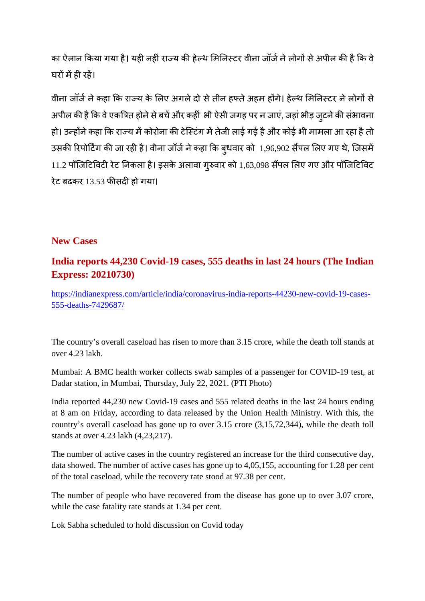का ऐलान किया गया है। यही नहीं राज्य की हेल्थ मिनिस्टर वीना जॉर्ज ने लोगों से अपील की है कि वे घरों में ही रहें।

वीना जॉर्ज ने कहा कि राज्य के लिए अगले दो से तीन हफ्ते अहम होंगे। हेल्थ मिनिस्टर ने लोगों से अपील की है कि वे एकत्रित होने से बचें और कहीं भी ऐसी जगह पर न जाएं, जहां भीड़ जुटने की संभावना हो। उन्होंने कहा कि राज्य में कोरोना की टेस्टिंग में तेजी लाई गई है और कोई भी मामला आ रहा है तो उसकी रिपोर्टिंग की जा रही है। वीना जॉर्ज ने कहा कि ब्धवार को 1,96,902 सैंपल लिए गए थे, जिसमें  $11.2$  पॉजिटिविटी रेट निकला है। इसके अलावा गुरुवार को  $1,63,098$  सैंपल लिए गए और पॉजिटिविट रेट बढ़कर 13.53 फीसदी हो गया।

#### **New Cases**

### **India reports 44,230 Covid-19 cases, 555 deaths in last 24 hours (The Indian Express: 20210730)**

https://indianexpress.com/article/india/coronavirus-india-reports-44230-new-covid-19-cases-555-deaths-7429687/

The country's overall caseload has risen to more than 3.15 crore, while the death toll stands at over 4.23 lakh.

Mumbai: A BMC health worker collects swab samples of a passenger for COVID-19 test, at Dadar station, in Mumbai, Thursday, July 22, 2021. (PTI Photo)

India reported 44,230 new Covid-19 cases and 555 related deaths in the last 24 hours ending at 8 am on Friday, according to data released by the Union Health Ministry. With this, the country's overall caseload has gone up to over 3.15 crore (3,15,72,344), while the death toll stands at over 4.23 lakh (4,23,217).

The number of active cases in the country registered an increase for the third consecutive day, data showed. The number of active cases has gone up to 4,05,155, accounting for 1.28 per cent of the total caseload, while the recovery rate stood at 97.38 per cent.

The number of people who have recovered from the disease has gone up to over 3.07 crore, while the case fatality rate stands at 1.34 per cent.

Lok Sabha scheduled to hold discussion on Covid today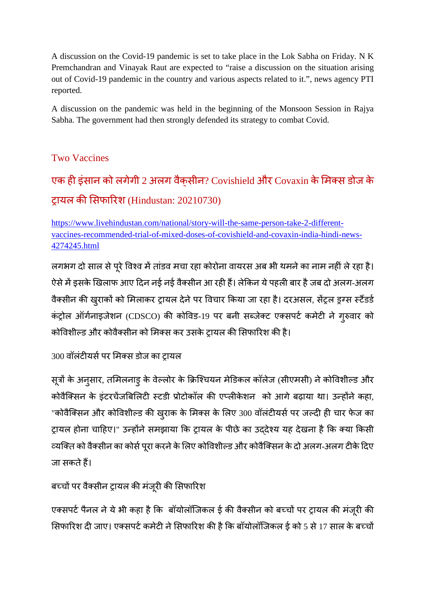A discussion on the Covid-19 pandemic is set to take place in the Lok Sabha on Friday. N K Premchandran and Vinayak Raut are expected to "raise a discussion on the situation arising out of Covid-19 pandemic in the country and various aspects related to it.", news agency PTI reported.

A discussion on the pandemic was held in the beginning of the Monsoon Session in Rajya Sabha. The government had then strongly defended its strategy to combat Covid.

#### Two Vaccines

# एक ही इंसान को लगेगी 2 अलग वैक्सीन? Covishield और Covaxin के मिक्स डोज के ट्रायल की सिफारिश (Hindustan: 20210730)

https://www.livehindustan.com/national/story-will-the-same-person-take-2-differentvaccines-recommended-trial-of-mixed-doses-of-covishield-and-covaxin-india-hindi-news-4274245.html

लगभग दो साल से पूरे विश्व में तांडव मचा रहा कोरोना वायरस अब भी थमने का नाम नहीं ले रहा है। ऐसे में इसके खिलाफ आए दिन नई नई वैक्सीन आ रही हैं। लेकिन ये पहली बार है जब दो अलग-अलग वैक्सीन की खुराकों को मिलाकर ट्रायल देने पर विचार किया जा रहा है। दरअसल, सेंट्रल ड्रग्स स्टैंडर्ड कंट्रोल ऑर्गनाइजेशन (CDSCO) की कोविड-19 पर बनी सब्जेक्ट एक्सपर्ट कमेटी ने गुरुवार को कोविशील्ड और कोवैक्सीन को मिक्स कर उसके ट्रायल की सिफारिश की है।

300 वॉलंटीयर्स पर मिक्स डोज का टायल

सूत्रों के अनुसार, तमिलनाडु के वेल्लोर के क्रिश्चियन मेडिकल कॉलेज (सीएमसी) ने कोविशील्ड और कोवैक्सिन के इंटरचेंजबिलिटी स्टडी प्रोटोकॉल की एप्लीकेशन को आगे बढ़ाया था। उन्होंने कहा, "कोवैक्सिन और कोविशील्ड की खुराक के मिक्स के लिए 300 वॉलंटीयर्स पर जल्दी ही चार फेज का ट्रायल होना चाहिए।" उन्होंने समझाया कि ट्रायल के पीछे का उददेश्य यह देखना है कि क्या किसी व्यक्ति को वैक्सीन का कोर्स पूरा करने के लिए कोविशील्ड और कोवैक्सिन के दो अलग-अलग टीके दिए जा सकतेह।

### बच्चों पर वैक्सीन ट्रायल की मंजूरी की सिफारिश

एक्सपर्ट पैनल ने ये भी कहा है कि बॉयोलॉजिकल ई की वैक्सीन को बच्चों पर ट्रायल की मंजूरी की सिफारिश दी जाए। एक्सपर्ट कमेटी ने सिफारिश की है कि बॉयोलॉजिकल ई को 5 से 17 साल के बच्चों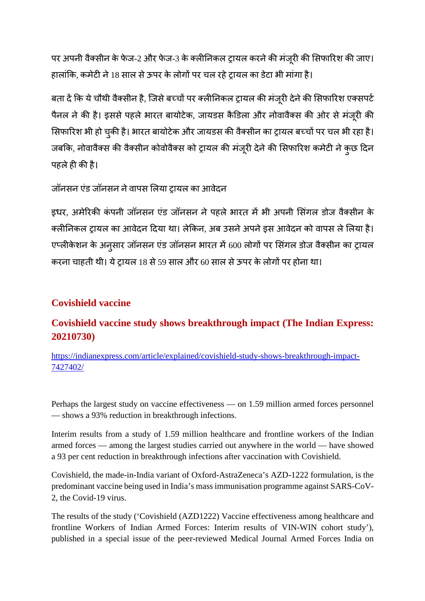पर अपनी वैक्सीन के फेज-2 और फेज-3 के क्लीनिकल ट्रायल करने की मंजुरी की सिफारिश की जाए। हालांकि, कमेटी ने 18 साल से ऊपर के लोगों पर चल रहे टायल का डेटा भी मांगा है।

बता दें कि ये चौथी वैक्सीन है, जिसे बच्चों पर क्लीनिकल ट्रायल की मंजूरी देने की सिफारिश एक्सपर्ट पैनल ने की है। इससे पहले भारत बायोटेक, जायडस कैडिला और नोवावैक्स की ओर से मंजूरी की सिफारिश भी हो चुकी है। भारत बायोटेक और जायडस की वैक्सीन का ट्रायल बच्चों पर चल भी रहा है। जबकि, नोवावैक्स की वैक्सीन कोवोवैक्स को ट्रायल की मंजूरी देने की सिफारिश कमेटी ने कुछ दिन पहले ही की है।

#### जॉनसन एंड जॉनसन ने वापस लिया टायल का आवेदन

इधर, अमेरिकी कंपनी जॉनसन एंड जॉनसन ने पहले भारत में भी अपनी सिंगल डोज वैक्सीन के क्लीनिकल ट्रायल का आवेदन दिया था। लेकिन, अब उसने अपने इस आवेदन को वापस ले लिया है। एप्लीकेशन के अनुसार जॉनसन एंड जॉनसन भारत में 600 लोगों पर सिंगल डोज वैक्सीन का ट्रायल करना चाहती थी। ये टायल 18 से 59 साल और 60 साल से ऊपर के लोगों पर होना था।

#### **Covishield vaccine**

#### **Covishield vaccine study shows breakthrough impact (The Indian Express: 20210730)**

https://indianexpress.com/article/explained/covishield-study-shows-breakthrough-impact-7427402/

Perhaps the largest study on vaccine effectiveness — on 1.59 million armed forces personnel — shows a 93% reduction in breakthrough infections.

Interim results from a study of 1.59 million healthcare and frontline workers of the Indian armed forces — among the largest studies carried out anywhere in the world — have showed a 93 per cent reduction in breakthrough infections after vaccination with Covishield.

Covishield, the made-in-India variant of Oxford-AstraZeneca's AZD-1222 formulation, is the predominant vaccine being used in India's mass immunisation programme against SARS-CoV-2, the Covid-19 virus.

The results of the study ('Covishield (AZD1222) Vaccine effectiveness among healthcare and frontline Workers of Indian Armed Forces: Interim results of VIN-WIN cohort study'), published in a special issue of the peer-reviewed Medical Journal Armed Forces India on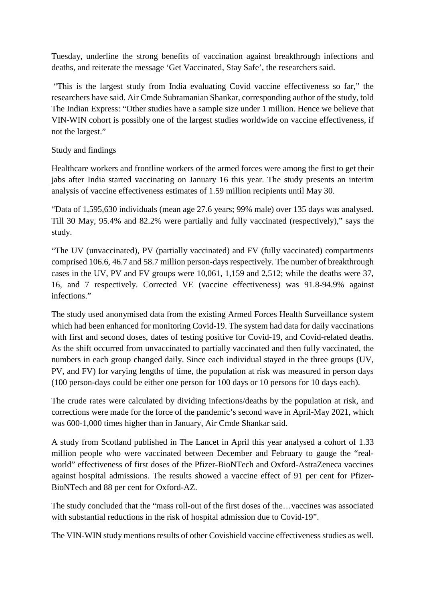Tuesday, underline the strong benefits of vaccination against breakthrough infections and deaths, and reiterate the message 'Get Vaccinated, Stay Safe', the researchers said.

"This is the largest study from India evaluating Covid vaccine effectiveness so far," the researchers have said. Air Cmde Subramanian Shankar, corresponding author of the study, told The Indian Express: "Other studies have a sample size under 1 million. Hence we believe that VIN-WIN cohort is possibly one of the largest studies worldwide on vaccine effectiveness, if not the largest."

#### Study and findings

Healthcare workers and frontline workers of the armed forces were among the first to get their jabs after India started vaccinating on January 16 this year. The study presents an interim analysis of vaccine effectiveness estimates of 1.59 million recipients until May 30.

"Data of 1,595,630 individuals (mean age 27.6 years; 99% male) over 135 days was analysed. Till 30 May, 95.4% and 82.2% were partially and fully vaccinated (respectively)," says the study.

"The UV (unvaccinated), PV (partially vaccinated) and FV (fully vaccinated) compartments comprised 106.6, 46.7 and 58.7 million person-days respectively. The number of breakthrough cases in the UV, PV and FV groups were 10,061, 1,159 and 2,512; while the deaths were 37, 16, and 7 respectively. Corrected VE (vaccine effectiveness) was 91.8-94.9% against infections."

The study used anonymised data from the existing Armed Forces Health Surveillance system which had been enhanced for monitoring Covid-19. The system had data for daily vaccinations with first and second doses, dates of testing positive for Covid-19, and Covid-related deaths. As the shift occurred from unvaccinated to partially vaccinated and then fully vaccinated, the numbers in each group changed daily. Since each individual stayed in the three groups (UV, PV, and FV) for varying lengths of time, the population at risk was measured in person days (100 person-days could be either one person for 100 days or 10 persons for 10 days each).

The crude rates were calculated by dividing infections/deaths by the population at risk, and corrections were made for the force of the pandemic's second wave in April-May 2021, which was 600-1,000 times higher than in January, Air Cmde Shankar said.

A study from Scotland published in The Lancet in April this year analysed a cohort of 1.33 million people who were vaccinated between December and February to gauge the "realworld" effectiveness of first doses of the Pfizer-BioNTech and Oxford-AstraZeneca vaccines against hospital admissions. The results showed a vaccine effect of 91 per cent for Pfizer-BioNTech and 88 per cent for Oxford-AZ.

The study concluded that the "mass roll-out of the first doses of the…vaccines was associated with substantial reductions in the risk of hospital admission due to Covid-19".

The VIN-WIN study mentions results of other Covishield vaccine effectiveness studies as well.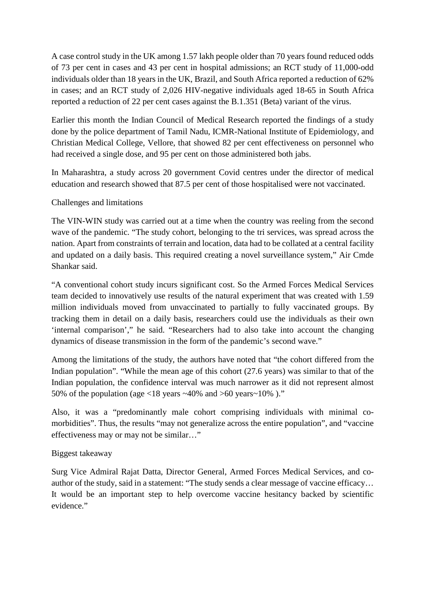A case control study in the UK among 1.57 lakh people older than 70 years found reduced odds of 73 per cent in cases and 43 per cent in hospital admissions; an RCT study of 11,000-odd individuals older than 18 years in the UK, Brazil, and South Africa reported a reduction of 62% in cases; and an RCT study of 2,026 HIV-negative individuals aged 18-65 in South Africa reported a reduction of 22 per cent cases against the B.1.351 (Beta) variant of the virus.

Earlier this month the Indian Council of Medical Research reported the findings of a study done by the police department of Tamil Nadu, ICMR-National Institute of Epidemiology, and Christian Medical College, Vellore, that showed 82 per cent effectiveness on personnel who had received a single dose, and 95 per cent on those administered both jabs.

In Maharashtra, a study across 20 government Covid centres under the director of medical education and research showed that 87.5 per cent of those hospitalised were not vaccinated.

#### Challenges and limitations

The VIN-WIN study was carried out at a time when the country was reeling from the second wave of the pandemic. "The study cohort, belonging to the tri services, was spread across the nation. Apart from constraints of terrain and location, data had to be collated at a central facility and updated on a daily basis. This required creating a novel surveillance system," Air Cmde Shankar said.

"A conventional cohort study incurs significant cost. So the Armed Forces Medical Services team decided to innovatively use results of the natural experiment that was created with 1.59 million individuals moved from unvaccinated to partially to fully vaccinated groups. By tracking them in detail on a daily basis, researchers could use the individuals as their own 'internal comparison'," he said. "Researchers had to also take into account the changing dynamics of disease transmission in the form of the pandemic's second wave."

Among the limitations of the study, the authors have noted that "the cohort differed from the Indian population". "While the mean age of this cohort (27.6 years) was similar to that of the Indian population, the confidence interval was much narrower as it did not represent almost 50% of the population (age <18 years  $\sim$ 40% and >60 years $\sim$ 10% )."

Also, it was a "predominantly male cohort comprising individuals with minimal comorbidities". Thus, the results "may not generalize across the entire population", and "vaccine effectiveness may or may not be similar…"

#### Biggest takeaway

Surg Vice Admiral Rajat Datta, Director General, Armed Forces Medical Services, and coauthor of the study, said in a statement: "The study sends a clear message of vaccine efficacy… It would be an important step to help overcome vaccine hesitancy backed by scientific evidence."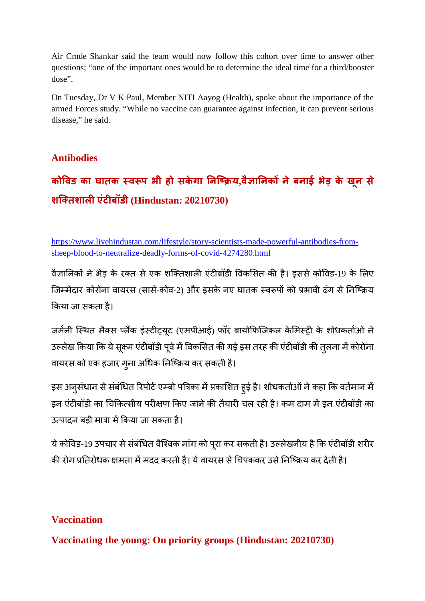Air Cmde Shankar said the team would now follow this cohort over time to answer other questions; "one of the important ones would be to determine the ideal time for a third/booster dose".

On Tuesday, Dr V K Paul, Member NITI Aayog (Health), spoke about the importance of the armed Forces study. "While no vaccine can guarantee against infection, it can prevent serious disease," he said.

#### **Antibodies**

# **कोवड का घातक व प भी हो सकेगा नि य,वै ानक नेबनाई भेड़ के ख ू न से शितशालएंटबॉडी (Hindustan: 20210730)**

https://www.livehindustan.com/lifestyle/story-scientists-made-powerful-antibodies-fromsheep-blood-to-neutralize-deadly-forms-of-covid-4274280.html

वैज्ञानिकों ने भेड़ के रक्त से एक शक्तिशाली एंटीबॉडी विकसित की है। इससे कोविड-19 के लिए जिम्मेदार कोरोना वायरस (सार्स-कोव-2) और इसके नए घातक स्वरूपों को प्रभावी ढंग से निष्क्रिय कया जा सकता है।

जर्मनी स्थित मैक्स प्लैंक इंस्टीट्यूट (एमपीआई) फॉर बायोफिजिकल केमिस्ट्री के शोधकर्ताओं ने उल्लेख किया कि ये सुक्ष्म एंटीबॉडी पूर्व में विकसित की गई इस तरह की एंटीबॉडी की तुलना में कोरोना वायरस को एक हजार गुना अधिक निष्क्रिय कर सकती है।

इस अनुसंधान से संबंधित रिपोर्ट एम्बो पत्रिका में प्रकाशित हुई है। शोधकर्ताओं ने कहा कि वर्तमान में इन एंटीबॉडी का चिकित्सीय परीक्षण किए जाने की तैयारी चल रही है। कम दाम में इन एंटीबॉडी का उत्पादन बड़ी मात्रा में किया जा सकता है।

ये कोविड-19 उपचार से संबंधित वैश्विक मांग को पूरा कर सकती है। उल्लेखनीय है कि एंटीबॉडी शरीर की रोग प्रतिरोधक क्षमता में मदद करती है। ये वायरस से चिपककर उसे निष्क्रिय कर देती है।

#### **Vaccination**

**Vaccinating the young: On priority groups (Hindustan: 20210730)**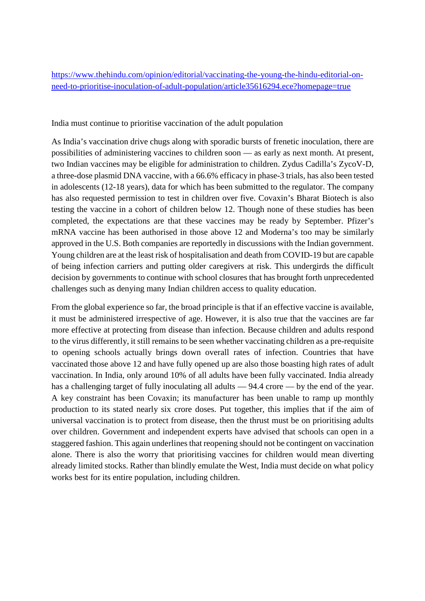https://www.thehindu.com/opinion/editorial/vaccinating-the-young-the-hindu-editorial-onneed-to-prioritise-inoculation-of-adult-population/article35616294.ece?homepage=true

India must continue to prioritise vaccination of the adult population

As India's vaccination drive chugs along with sporadic bursts of frenetic inoculation, there are possibilities of administering vaccines to children soon — as early as next month. At present, two Indian vaccines may be eligible for administration to children. Zydus Cadilla's ZycoV-D, a three-dose plasmid DNA vaccine, with a 66.6% efficacy in phase-3 trials, has also been tested in adolescents (12-18 years), data for which has been submitted to the regulator. The company has also requested permission to test in children over five. Covaxin's Bharat Biotech is also testing the vaccine in a cohort of children below 12. Though none of these studies has been completed, the expectations are that these vaccines may be ready by September. Pfizer's mRNA vaccine has been authorised in those above 12 and Moderna's too may be similarly approved in the U.S. Both companies are reportedly in discussions with the Indian government. Young children are at the least risk of hospitalisation and death from COVID-19 but are capable of being infection carriers and putting older caregivers at risk. This undergirds the difficult decision by governments to continue with school closures that has brought forth unprecedented challenges such as denying many Indian children access to quality education.

From the global experience so far, the broad principle is that if an effective vaccine is available, it must be administered irrespective of age. However, it is also true that the vaccines are far more effective at protecting from disease than infection. Because children and adults respond to the virus differently, it still remains to be seen whether vaccinating children as a pre-requisite to opening schools actually brings down overall rates of infection. Countries that have vaccinated those above 12 and have fully opened up are also those boasting high rates of adult vaccination. In India, only around 10% of all adults have been fully vaccinated. India already has a challenging target of fully inoculating all adults — 94.4 crore — by the end of the year. A key constraint has been Covaxin; its manufacturer has been unable to ramp up monthly production to its stated nearly six crore doses. Put together, this implies that if the aim of universal vaccination is to protect from disease, then the thrust must be on prioritising adults over children. Government and independent experts have advised that schools can open in a staggered fashion. This again underlines that reopening should not be contingent on vaccination alone. There is also the worry that prioritising vaccines for children would mean diverting already limited stocks. Rather than blindly emulate the West, India must decide on what policy works best for its entire population, including children.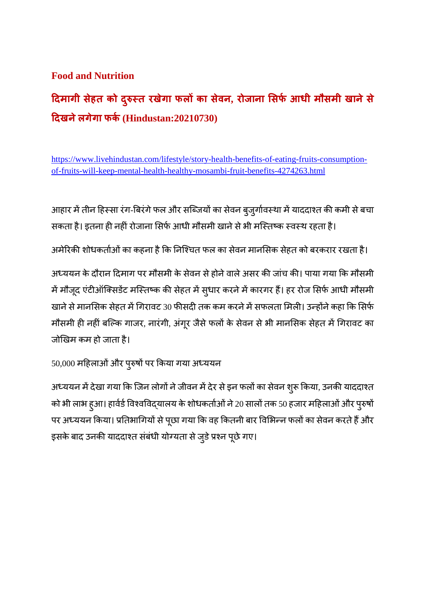#### **Food and Nutrition**

# **दमागी सेहत को द ुत रखेगा फलका सेवन, रोजाना सफआधी मौसमी खानेसे दखनेलगेगा फक(Hindustan:20210730)**

https://www.livehindustan.com/lifestyle/story-health-benefits-of-eating-fruits-consumptionof-fruits-will-keep-mental-health-healthy-mosambi-fruit-benefits-4274263.html

आहार में तीन हिस्सा रंग-बिरंगे फल और सब्जियों का सेवन बुजुर्गावस्था में याददाश्त की कमी से बचा सकता है। इतना ही नहीं रोजाना सिर्फ आधी मौसमी खाने से भी मस्तिष्क स्वस्थ रहता है।

अमेरिकी शोधकर्ताओं का कहना है कि निश्चित फल का सेवन मानसिक सेहत को बरकरार रखता है।

अध्ययन के दौरान दिमाग पर मौसमी के सेवन से होने वाले असर की जांच की। पाया गया कि मौसमी में मौजूद एंटीऑक्सिडेंट मस्तिष्क की सेहत में सुधार करने में कारगर हैं। हर रोज सिर्फ आधी मौसमी खाने से मानसिक सेहत में गिरावट 30 फीसदी तक कम करने में सफलता मिली। उन्होंने कहा कि सिर्फ मौसमी ही नहीं बल्कि गाजर, नारंगी, अंगूर जैसे फलों के सेवन से भी मानसिक सेहत में गिरावट का जोखम कम हो जाता है।

50,000 महिलाओं और पुरुषों पर किया गया अध्ययन

अध्ययन में देखा गया कि जिन लोगों ने जीवन में देर से इन फलों का सेवन शुरू किया, उनकी याददाश्त को भी लाभ हुआ। हार्वर्ड विश्वविद्यालय के शोधकर्ताओं ने 20 सालों तक 50 हजार महिलाओं और पुरुषों पर अध्ययन किया। प्रतिभागियों से पूछा गया कि वह कितनी बार विभिन्न फलों का सेवन करते हैं और इसके बाद उनकी याददाश्त संबंधी योग्यता से जुडे प्रश्न पूछे गए।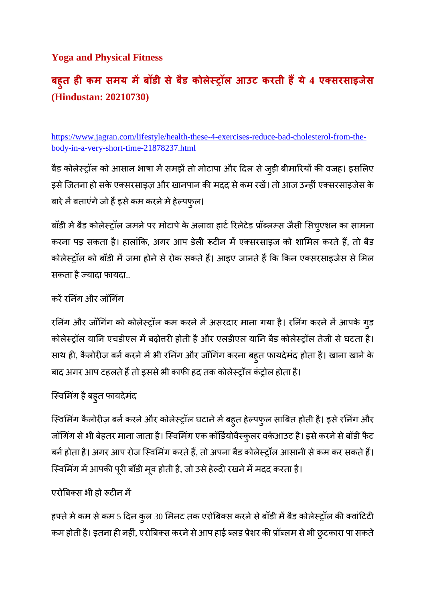#### **Yoga and Physical Fitness**

# **बह ु त ह कम समय मबॉडी सेबडै कोलेॉल आउट करती हये4 एसरसाइजेस (Hindustan: 20210730)**

https://www.jagran.com/lifestyle/health-these-4-exercises-reduce-bad-cholesterol-from-thebody-in-a-very-short-time-21878237.html

बैड कोलेस्ट्रॉल को आसान भाषा में समझें तो मोटापा और दिल से जुड़ी बीमारियों की वजह। इसलिए इसे जितना हो सके एक्सरसाइज़ और खानपान की मदद से कम रखें। तो आज उन्हीं एक्सरसाइजेस के बारे में बताएंगे जो हैं इसे कम करने में हेल्पफुल।

बॉडी में बैड कोलेस्ट्रॉल जमने पर मोटापे के अलावा हार्ट रिलेटेड प्रॉब्लम्स जैसी सिच्एशन का सामना करना पड़ सकता है। हालांकि, अगर आप डेली रूटीन में एक्सरसाइज को शामिल करते हैं, तो बैड कोलेस्ट्रॉल को बॉडी में जमा होने से रोक सकते हैं। आइए जानते हैं कि किन एक्सरसाइजेस से मिल सकता है ज्यादा फायदा..

#### करें रनिंग और जॉगिंग

रनिंग और जॉगिंग को कोलेस्ट्रॉल कम करने में असरदार माना गया है। रनिंग करने में आपके गुड कोलेस्ट्रॉल यानि एचडीएल में बढ़ोत्तरी होती है और एलडीएल यानि बैड कोलेस्ट्रॉल तेजी से घटता है। साथ ही, कैलोरीज़ बर्न करने में भी रनिंग और जॉगिंग करना बहुत फायदेमंद होता है। खाना खाने के बाद अगर आप टहलते हैं तो इससे भी काफी हद तक कोलेस्ट्रॉल कंट्रोल होता है।

## िवमगं हैबहुत फायदेमंद

स्विमिंग कैलोरीज़ बर्न करने और कोलेस्ट्रॉल घटाने में बहुत हेल्पफुल साबित होती है। इसे रनिंग और जॉगिंग से भी बेहतर माना जाता है। स्विमिंग एक कॉर्डियोवैस्कुलर वर्कआउट है। इसे करने से बॉडी फैट बर्न होता है। अगर आप रोज स्विमिंग करते हैं, तो अपना बैड कोलेस्ट्रॉल आसानी से कम कर सकते हैं। स्विमिंग में आपकी पूरी बॉडी मूव होती है, जो उसे हेल्दी रखने में मदद करता है।

#### एरोबिक्स भी हो रूटीन में

हफ्ते में कम से कम 5 दिन कुल 30 मिनट तक एरोबिक्स करने से बॉडी में बैड कोलेस्ट्रॉल की क्वांटिटी कम होती है। इतना ही नहीं, एरोबिक्स करने से आप हाई ब्लड प्रेशर की प्रॉब्लम से भी छुटकारा पा सकते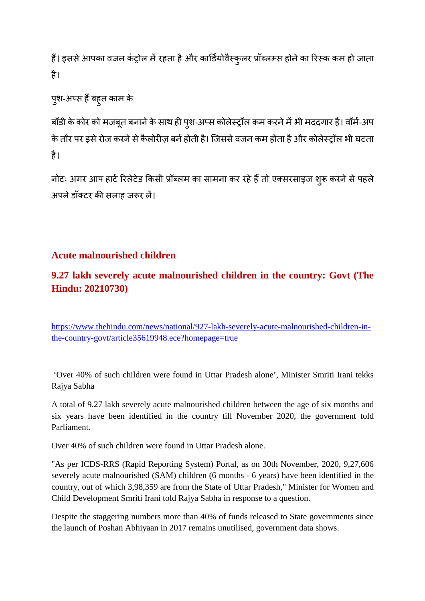हैं। इससे आपका वजन कंट्रोल में रहता है और कार्डियोवैस्कुलर प्रॉब्लम्स होने का रिस्क कम हो जाता है।

```
पुश-अप्स हैं बहुत काम के
```
बॉडी के कोर को मजबूत बनाने के साथ ही पुश-अप्स कोलेस्ट्रॉल कम करने में भी मददगार है। वॉर्म-अप के तौर पर इसे रोज करने से कैलोरीज़ बर्न होती है। जिससे वजन कम होता है और कोलेस्ट्रॉल भी घटता है।

नोटः अगर आप हार्ट रिलेटेड किसी प्रॉब्लम का सामना कर रहे हैं तो एक्सरसाइज शुरू करने से पहले अपने डॉक्टर की सलाह जरूर लें।

### **Acute malnourished children**

## **9.27 lakh severely acute malnourished children in the country: Govt (The Hindu: 20210730)**

https://www.thehindu.com/news/national/927-lakh-severely-acute-malnourished-children-inthe-country-govt/article35619948.ece?homepage=true

'Over 40% of such children were found in Uttar Pradesh alone', Minister Smriti Irani tekks Rajya Sabha

A total of 9.27 lakh severely acute malnourished children between the age of six months and six years have been identified in the country till November 2020, the government told Parliament.

Over 40% of such children were found in Uttar Pradesh alone.

"As per ICDS-RRS (Rapid Reporting System) Portal, as on 30th November, 2020, 9,27,606 severely acute malnourished (SAM) children (6 months - 6 years) have been identified in the country, out of which 3,98,359 are from the State of Uttar Pradesh," Minister for Women and Child Development Smriti Irani told Rajya Sabha in response to a question.

Despite the staggering numbers more than 40% of funds released to State governments since the launch of Poshan Abhiyaan in 2017 remains unutilised, government data shows.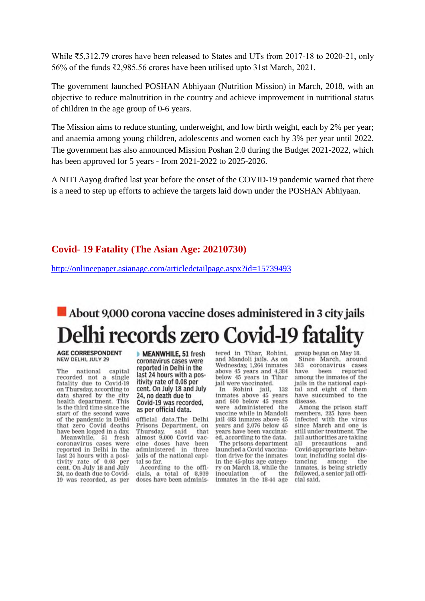While ₹5,312.79 crores have been released to States and UTs from 2017-18 to 2020-21, only 56% of the funds ₹2,985.56 crores have been utilised upto 31st March, 2021.

The government launched POSHAN Abhiyaan (Nutrition Mission) in March, 2018, with an objective to reduce malnutrition in the country and achieve improvement in nutritional status of children in the age group of 0-6 years.

The Mission aims to reduce stunting, underweight, and low birth weight, each by 2% per year; and anaemia among young children, adolescents and women each by 3% per year until 2022. The government has also announced Mission Poshan 2.0 during the Budget 2021-2022, which has been approved for 5 years - from 2021-2022 to 2025-2026.

A NITI Aayog drafted last year before the onset of the COVID-19 pandemic warned that there is a need to step up efforts to achieve the targets laid down under the POSHAN Abhiyaan.

#### **Covid- 19 Fatality (The Asian Age: 20210730)**

http://onlineepaper.asianage.com/articledetailpage.aspx?id=15739493

# About 9,000 corona vaccine doses administered in 3 city jails **Delhi records zero Covid-19 fatality**

**AGE CORRESPONDENT** NEW DELHI, JULY 29

The national capital recorded not a single fatality due to Covid-19 on Thursday, according to<br>data shared by the city health department. This is the third time since the start of the second wave of the pandemic in Delhi that zero Covid deaths have been logged in a day.

Meanwhile, 51 fresh coronavirus cases were reported in Delhi in the last 24 hours with a positivity rate of 0.08 per<br>cent. On July 18 and July 24, no death due to Covid-19 was recorded, as per MEANWHILE, 51 fresh coronavirus cases were reported in Delhi in the last 24 hours with a positivity rate of 0.08 per cent. On July 18 and July 24, no death due to Covid-19 was recorded, as per official data.

official data.The Delhi Prisons Department, on Thursday. said that almost 9,000 Covid vaccine doses have been administered in three jails of the national capital so far.

According to the officials, a total of 8,939 doses have been administered in Tihar, Rohini. and Mandoli jails. As on Wednesday, 1,264 inmates above 45 years and 4,384<br>below 45 years in Tihar jail were vaccinated.

In Rohini jail, 132<br>inmates above 45 years and 600 below 45 years. were administered the vaccine while in Mandoli jail 483 inmates above 45 years and 2,076 below 45 years have been vaccinated, according to the data.

The prisons department launched a Covid vaccination drive for the inmates in the 45-plus age category on March 18, while the inoculation of the inmates in the 18-44 age group began on May 18. Since March, around 383 coronavirus cases have been reported among the inmates of the iails in the national canital and eight of them have succumbed to the disease

Among the prison staff members, 225 have been<br>infected with the virus since March and one is still under treatment. The iail authorities are taking precautions  $211$ and Covid-appropriate behaviour, including social distancing among  $the$ inmates, is being strictly followed, a senior jail official said.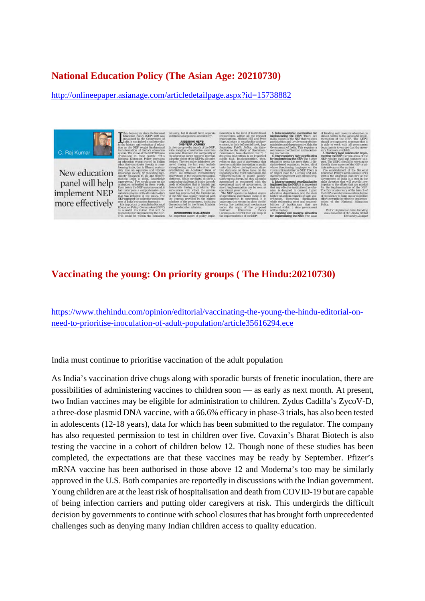#### **National Education Policy (The Asian Age: 20210730)**

http://onlineepaper.asianage.com/articledetailpage.aspx?id=15738882



#### **Vaccinating the young: On priority groups ( The Hindu:20210730)**

https://www.thehindu.com/opinion/editorial/vaccinating-the-young-the-hindu-editorial-onneed-to-prioritise-inoculation-of-adult-population/article35616294.ece

India must continue to prioritise vaccination of the adult population

As India's vaccination drive chugs along with sporadic bursts of frenetic inoculation, there are possibilities of administering vaccines to children soon — as early as next month. At present, two Indian vaccines may be eligible for administration to children. Zydus Cadilla's ZycoV-D, a three-dose plasmid DNA vaccine, with a 66.6% efficacy in phase-3 trials, has also been tested in adolescents (12-18 years), data for which has been submitted to the regulator. The company has also requested permission to test in children over five. Covaxin's Bharat Biotech is also testing the vaccine in a cohort of children below 12. Though none of these studies has been completed, the expectations are that these vaccines may be ready by September. Pfizer's mRNA vaccine has been authorised in those above 12 and Moderna's too may be similarly approved in the U.S. Both companies are reportedly in discussions with the Indian government. Young children are at the least risk of hospitalisation and death from COVID-19 but are capable of being infection carriers and putting older caregivers at risk. This undergirds the difficult decision by governments to continue with school closures that has brought forth unprecedented challenges such as denying many Indian children access to quality education.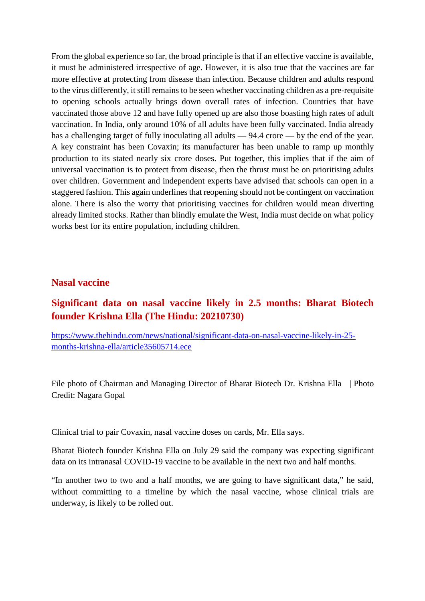From the global experience so far, the broad principle is that if an effective vaccine is available, it must be administered irrespective of age. However, it is also true that the vaccines are far more effective at protecting from disease than infection. Because children and adults respond to the virus differently, it still remains to be seen whether vaccinating children as a pre-requisite to opening schools actually brings down overall rates of infection. Countries that have vaccinated those above 12 and have fully opened up are also those boasting high rates of adult vaccination. In India, only around 10% of all adults have been fully vaccinated. India already has a challenging target of fully inoculating all adults — 94.4 crore — by the end of the year. A key constraint has been Covaxin; its manufacturer has been unable to ramp up monthly production to its stated nearly six crore doses. Put together, this implies that if the aim of universal vaccination is to protect from disease, then the thrust must be on prioritising adults over children. Government and independent experts have advised that schools can open in a staggered fashion. This again underlines that reopening should not be contingent on vaccination alone. There is also the worry that prioritising vaccines for children would mean diverting already limited stocks. Rather than blindly emulate the West, India must decide on what policy works best for its entire population, including children.

#### **Nasal vaccine**

#### **Significant data on nasal vaccine likely in 2.5 months: Bharat Biotech founder Krishna Ella (The Hindu: 20210730)**

https://www.thehindu.com/news/national/significant-data-on-nasal-vaccine-likely-in-25 months-krishna-ella/article35605714.ece

File photo of Chairman and Managing Director of Bharat Biotech Dr. Krishna Ella | Photo Credit: Nagara Gopal

Clinical trial to pair Covaxin, nasal vaccine doses on cards, Mr. Ella says.

Bharat Biotech founder Krishna Ella on July 29 said the company was expecting significant data on its intranasal COVID-19 vaccine to be available in the next two and half months.

"In another two to two and a half months, we are going to have significant data," he said, without committing to a timeline by which the nasal vaccine, whose clinical trials are underway, is likely to be rolled out.